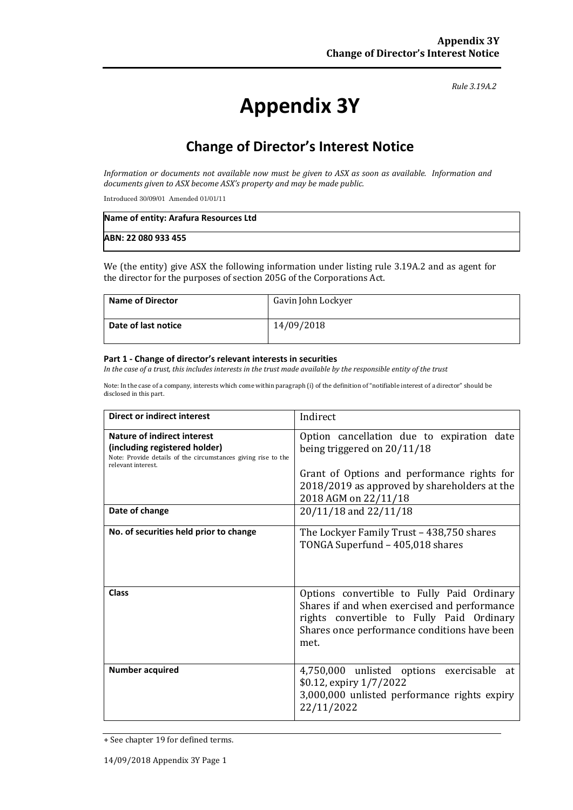#### *Rule 3.19A.2*

# **Appendix 3Y**

# **Change of Director's Interest Notice**

*Information or documents not available now must be given to ASX as soon as available. Information and documents given to ASX become ASX's property and may be made public.*

Introduced 30/09/01 Amended 01/01/11

| Name of entity: Arafura Resources Ltd |  |
|---------------------------------------|--|
| ABN: 22 080 933 455                   |  |

We (the entity) give ASX the following information under listing rule 3.19A.2 and as agent for the director for the purposes of section 205G of the Corporations Act.

| <b>Name of Director</b> | Gavin John Lockyer |
|-------------------------|--------------------|
| Date of last notice     | 14/09/2018         |

#### **Part 1 - Change of director's relevant interests in securities**

*In the case of a trust, this includes interests in the trust made available by the responsible entity of the trust*

Note: In the case of a company, interests which come within paragraph (i) of the definition of "notifiable interest of a director" should be disclosed in this part.

| Direct or indirect interest                                                                                                                         | Indirect                                                                                                                                                                                           |
|-----------------------------------------------------------------------------------------------------------------------------------------------------|----------------------------------------------------------------------------------------------------------------------------------------------------------------------------------------------------|
| Nature of indirect interest<br>(including registered holder)<br>Note: Provide details of the circumstances giving rise to the<br>relevant interest. | Option cancellation due to expiration date<br>being triggered on $20/11/18$<br>Grant of Options and performance rights for<br>2018/2019 as approved by shareholders at the<br>2018 AGM on 22/11/18 |
| Date of change                                                                                                                                      | 20/11/18 and 22/11/18                                                                                                                                                                              |
| No. of securities held prior to change                                                                                                              | The Lockyer Family Trust - 438,750 shares<br>TONGA Superfund - 405,018 shares                                                                                                                      |
| <b>Class</b>                                                                                                                                        | Options convertible to Fully Paid Ordinary<br>Shares if and when exercised and performance<br>rights convertible to Fully Paid Ordinary<br>Shares once performance conditions have been<br>met.    |
| <b>Number acquired</b>                                                                                                                              | 4,750,000 unlisted options exercisable<br>at<br>\$0.12, expiry 1/7/2022<br>3,000,000 unlisted performance rights expiry<br>22/11/2022                                                              |

<sup>+</sup> See chapter 19 for defined terms.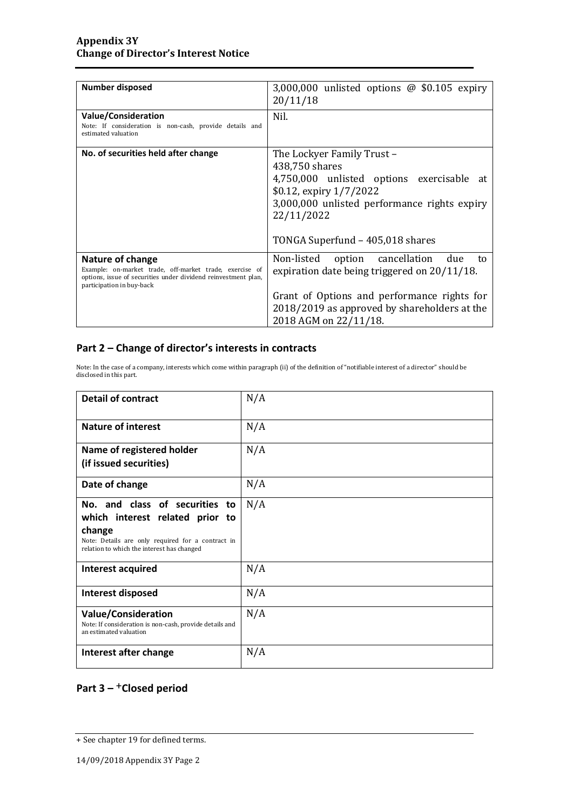| <b>Number disposed</b>                                                                                                                                                            | 3,000,000 unlisted options $\omega$ \$0.105 expiry<br>20/11/18                                                                                                                                                         |
|-----------------------------------------------------------------------------------------------------------------------------------------------------------------------------------|------------------------------------------------------------------------------------------------------------------------------------------------------------------------------------------------------------------------|
| Value/Consideration<br>Note: If consideration is non-cash, provide details and<br>estimated valuation                                                                             | Nil.                                                                                                                                                                                                                   |
| No. of securities held after change                                                                                                                                               | The Lockyer Family Trust -<br>438,750 shares<br>4,750,000 unlisted options exercisable at<br>\$0.12, expiry 1/7/2022<br>3,000,000 unlisted performance rights expiry<br>22/11/2022<br>TONGA Superfund - 405,018 shares |
| <b>Nature of change</b><br>Example: on-market trade, off-market trade, exercise of<br>options, issue of securities under dividend reinvestment plan,<br>participation in buy-back | Non-listed<br>option cancellation<br>due<br>to<br>expiration date being triggered on 20/11/18.<br>Grant of Options and performance rights for<br>2018/2019 as approved by shareholders at the<br>2018 AGM on 22/11/18. |

### **Part 2 – Change of director's interests in contracts**

Note: In the case of a company, interests which come within paragraph (ii) of the definition of "notifiable interest of a director" should be disclosed in this part.

| <b>Detail of contract</b>                                                                                                                                                      | N/A |
|--------------------------------------------------------------------------------------------------------------------------------------------------------------------------------|-----|
| <b>Nature of interest</b>                                                                                                                                                      | N/A |
| Name of registered holder<br>(if issued securities)                                                                                                                            | N/A |
| Date of change                                                                                                                                                                 | N/A |
| No. and class of securities to<br>which interest related prior to<br>change<br>Note: Details are only required for a contract in<br>relation to which the interest has changed | N/A |
| Interest acquired                                                                                                                                                              | N/A |
| Interest disposed                                                                                                                                                              | N/A |
| <b>Value/Consideration</b><br>Note: If consideration is non-cash, provide details and<br>an estimated valuation                                                                | N/A |
| Interest after change                                                                                                                                                          | N/A |

## **Part 3 –** +**Closed period**

<sup>+</sup> See chapter 19 for defined terms.